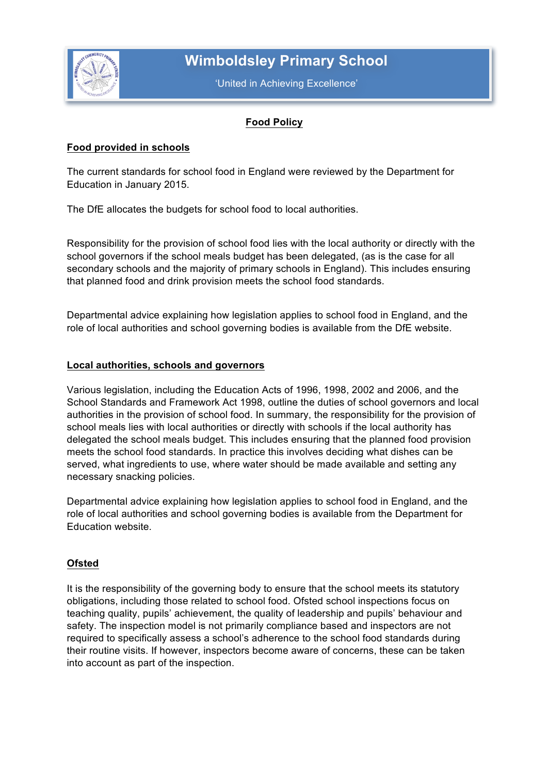

# **Wimboldsley Primary School**

'United in Achieving Excellence'

# **Food Policy**

# **Food provided in schools**

The current standards for school food in England were reviewed by the Department for Education in January 2015.

The DfE allocates the budgets for school food to local authorities.

Responsibility for the provision of school food lies with the local authority or directly with the school governors if the school meals budget has been delegated, (as is the case for all secondary schools and the majority of primary schools in England). This includes ensuring that planned food and drink provision meets the school food standards.

Departmental advice explaining how legislation applies to school food in England, and the role of local authorities and school governing bodies is available from the DfE website.

# **Local authorities, schools and governors**

Various legislation, including the Education Acts of 1996, 1998, 2002 and 2006, and the School Standards and Framework Act 1998, outline the duties of school governors and local authorities in the provision of school food. In summary, the responsibility for the provision of school meals lies with local authorities or directly with schools if the local authority has delegated the school meals budget. This includes ensuring that the planned food provision meets the school food standards. In practice this involves deciding what dishes can be served, what ingredients to use, where water should be made available and setting any necessary snacking policies.

Departmental advice explaining how legislation applies to school food in England, and the role of local authorities and school governing bodies is available from the Department for Education website.

# **Ofsted**

It is the responsibility of the governing body to ensure that the school meets its statutory obligations, including those related to school food. Ofsted school inspections focus on teaching quality, pupils' achievement, the quality of leadership and pupils' behaviour and safety. The inspection model is not primarily compliance based and inspectors are not required to specifically assess a school's adherence to the school food standards during their routine visits. If however, inspectors become aware of concerns, these can be taken into account as part of the inspection.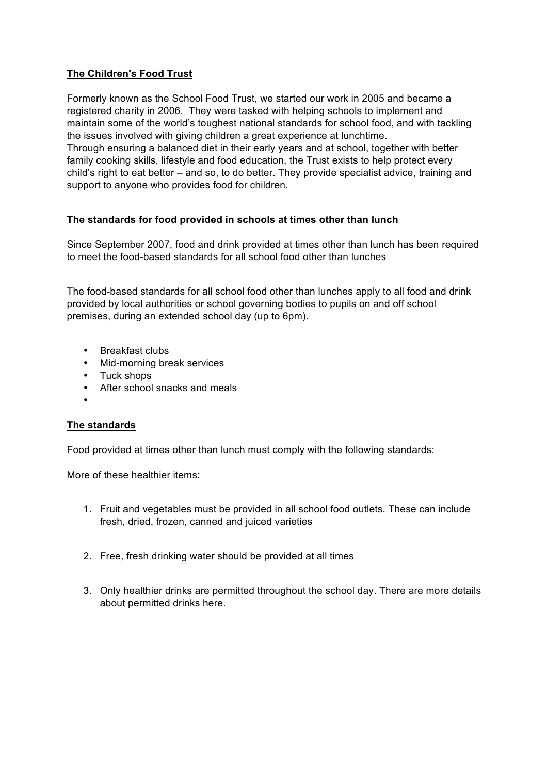# **The Children's Food Trust**

Formerly known as the School Food Trust, we started our work in 2005 and became a registered charity in 2006. They were tasked with helping schools to implement and maintain some of the world's toughest national standards for school food, and with tackling the issues involved with giving children a great experience at lunchtime. Through ensuring a balanced diet in their early years and at school, together with better family cooking skills, lifestyle and food education, the Trust exists to help protect every child's right to eat better – and so, to do better. They provide specialist advice, training and support to anyone who provides food for children.

# **The standards for food provided in schools at times other than lunch**

Since September 2007, food and drink provided at times other than lunch has been required to meet the food-based standards for all school food other than lunches

The food-based standards for all school food other than lunches apply to all food and drink provided by local authorities or school governing bodies to pupils on and off school premises, during an extended school day (up to 6pm).

- Breakfast clubs
- Mid-morning break services
- Tuck shops
- After school snacks and meals
- •

#### **The standards**

Food provided at times other than lunch must comply with the following standards:

More of these healthier items:

- 1. Fruit and vegetables must be provided in all school food outlets. These can include fresh, dried, frozen, canned and juiced varieties
- 2. Free, fresh drinking water should be provided at all times
- 3. Only healthier drinks are permitted throughout the school day. There are more details about permitted drinks here.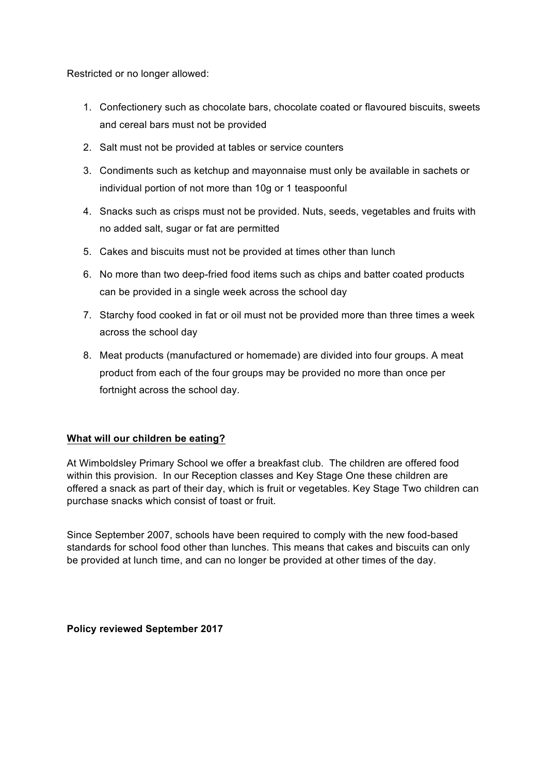Restricted or no longer allowed:

- 1. Confectionery such as chocolate bars, chocolate coated or flavoured biscuits, sweets and cereal bars must not be provided
- 2. Salt must not be provided at tables or service counters
- 3. Condiments such as ketchup and mayonnaise must only be available in sachets or individual portion of not more than 10g or 1 teaspoonful
- 4. Snacks such as crisps must not be provided. Nuts, seeds, vegetables and fruits with no added salt, sugar or fat are permitted
- 5. Cakes and biscuits must not be provided at times other than lunch
- 6. No more than two deep-fried food items such as chips and batter coated products can be provided in a single week across the school day
- 7. Starchy food cooked in fat or oil must not be provided more than three times a week across the school day
- 8. Meat products (manufactured or homemade) are divided into four groups. A meat product from each of the four groups may be provided no more than once per fortnight across the school day.

#### **What will our children be eating?**

At Wimboldsley Primary School we offer a breakfast club. The children are offered food within this provision. In our Reception classes and Key Stage One these children are offered a snack as part of their day, which is fruit or vegetables. Key Stage Two children can purchase snacks which consist of toast or fruit.

Since September 2007, schools have been required to comply with the new food-based standards for school food other than lunches. This means that cakes and biscuits can only be provided at lunch time, and can no longer be provided at other times of the day.

**Policy reviewed September 2017**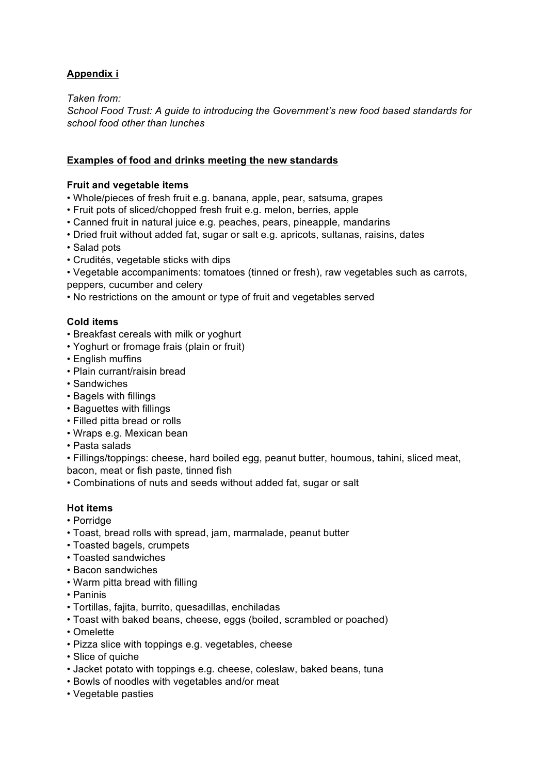# **Appendix i**

*Taken from:* 

*School Food Trust: A guide to introducing the Government's new food based standards for school food other than lunches*

# **Examples of food and drinks meeting the new standards**

## **Fruit and vegetable items**

- Whole/pieces of fresh fruit e.g. banana, apple, pear, satsuma, grapes
- Fruit pots of sliced/chopped fresh fruit e.g. melon, berries, apple
- Canned fruit in natural juice e.g. peaches, pears, pineapple, mandarins
- Dried fruit without added fat, sugar or salt e.g. apricots, sultanas, raisins, dates
- Salad pots
- Crudités, vegetable sticks with dips
- Vegetable accompaniments: tomatoes (tinned or fresh), raw vegetables such as carrots, peppers, cucumber and celery
- No restrictions on the amount or type of fruit and vegetables served

# **Cold items**

- Breakfast cereals with milk or yoghurt
- Yoghurt or fromage frais (plain or fruit)
- English muffins
- Plain currant/raisin bread
- Sandwiches
- Bagels with fillings
- Baguettes with fillings
- Filled pitta bread or rolls
- Wraps e.g. Mexican bean
- Pasta salads
- Fillings/toppings: cheese, hard boiled egg, peanut butter, houmous, tahini, sliced meat, bacon, meat or fish paste, tinned fish
- Combinations of nuts and seeds without added fat, sugar or salt

# **Hot items**

- Porridge
- Toast, bread rolls with spread, jam, marmalade, peanut butter
- Toasted bagels, crumpets
- Toasted sandwiches
- Bacon sandwiches
- Warm pitta bread with filling
- Paninis
- Tortillas, fajita, burrito, quesadillas, enchiladas
- Toast with baked beans, cheese, eggs (boiled, scrambled or poached)
- Omelette
- Pizza slice with toppings e.g. vegetables, cheese
- Slice of quiche
- Jacket potato with toppings e.g. cheese, coleslaw, baked beans, tuna
- Bowls of noodles with vegetables and/or meat
- Vegetable pasties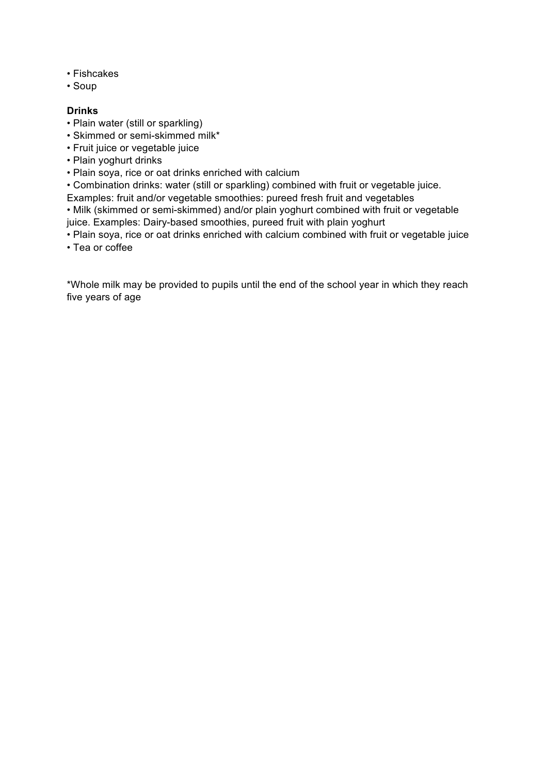- Fishcakes
- Soup

## **Drinks**

- Plain water (still or sparkling)
- Skimmed or semi-skimmed milk\*
- Fruit juice or vegetable juice
- Plain yoghurt drinks
- Plain soya, rice or oat drinks enriched with calcium
- Combination drinks: water (still or sparkling) combined with fruit or vegetable juice.
- Examples: fruit and/or vegetable smoothies: pureed fresh fruit and vegetables

• Milk (skimmed or semi-skimmed) and/or plain yoghurt combined with fruit or vegetable juice. Examples: Dairy-based smoothies, pureed fruit with plain yoghurt

• Plain soya, rice or oat drinks enriched with calcium combined with fruit or vegetable juice

• Tea or coffee

\*Whole milk may be provided to pupils until the end of the school year in which they reach five years of age